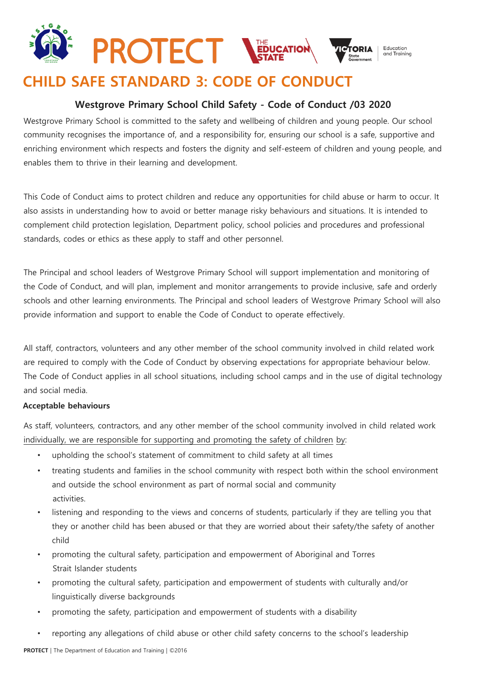## **PROTECT STATE** Education and Training

# **CHILD SAFE STANDARD 3: CODE OF CONDUCT**

### **Westgrove Primary School Child Safety - Code of Conduct /03 2020**

Westgrove Primary School is committed to the safety and wellbeing of children and young people. Our school community recognises the importance of, and a responsibility for, ensuring our school is a safe, supportive and enriching environment which respects and fosters the dignity and self-esteem of children and young people, and enables them to thrive in their learning and development.

This Code of Conduct aims to protect children and reduce any opportunities for child abuse or harm to occur. It also assists in understanding how to avoid or better manage risky behaviours and situations. It is intended to complement child protection legislation, Department policy, school policies and procedures and professional standards, codes or ethics as these apply to staff and other personnel.

The Principal and school leaders of Westgrove Primary School will support implementation and monitoring of the Code of Conduct, and will plan, implement and monitor arrangements to provide inclusive, safe and orderly schools and other learning environments. The Principal and school leaders of Westgrove Primary School will also provide information and support to enable the Code of Conduct to operate effectively.

All staff, contractors, volunteers and any other member of the school community involved in child related work are required to comply with the Code of Conduct by observing expectations for appropriate behaviour below. The Code of Conduct applies in all school situations, including school camps and in the use of digital technology and social media.

#### **Acceptable behaviours**

As staff, volunteers, contractors, and any other member of the school community involved in child related work individually, we are responsible for supporting and promoting the safety of children by:

- upholding the school's statement of commitment to child safety at all times
- treating students and families in the school community with respect both within the school environment and outside the school environment as part of normal social and community activities.
- listening and responding to the views and concerns of students, particularly if they are telling you that they or another child has been abused or that they are worried about their safety/the safety of another child
- promoting the cultural safety, participation and empowerment of Aboriginal and Torres Strait Islander students
- promoting the cultural safety, participation and empowerment of students with culturally and/or linguistically diverse backgrounds
- promoting the safety, participation and empowerment of students with a disability
- reporting any allegations of child abuse or other child safety concerns to the school's leadership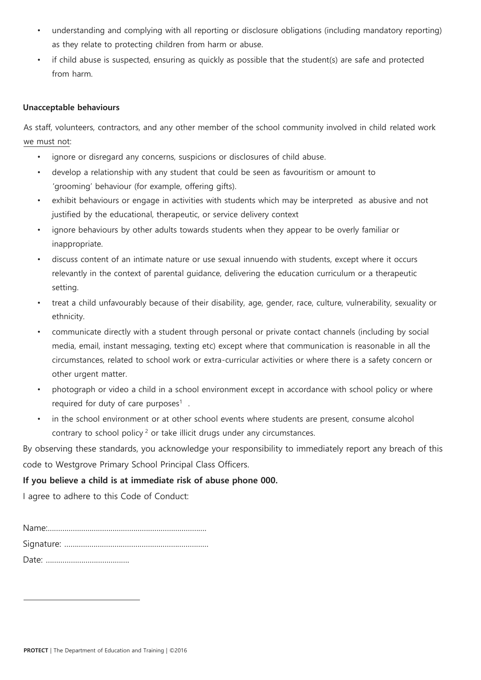- understanding and complying with all reporting or disclosure obligations (including mandatory reporting) as they relate to protecting children from harm or abuse.
- if child abuse is suspected, ensuring as quickly as possible that the student(s) are safe and protected from harm.

#### **Unacceptable behaviours**

As staff, volunteers, contractors, and any other member of the school community involved in child related work we must not:

- ignore or disregard any concerns, suspicions or disclosures of child abuse.
- develop a relationship with any student that could be seen as favouritism or amount to 'grooming' behaviour (for example, offering gifts).
- exhibit behaviours or engage in activities with students which may be interpreted as abusive and not justified by the educational, therapeutic, or service delivery context
- ignore behaviours by other adults towards students when they appear to be overly familiar or inappropriate.
- discuss content of an intimate nature or use sexual innuendo with students, except where it occurs relevantly in the context of parental guidance, delivering the education curriculum or a therapeutic setting.
- treat a child unfavourably because of their disability, age, gender, race, culture, vulnerability, sexuality or ethnicity.
- communicate directly with a student through personal or private contact channels (including by social media, email, instant messaging, texting etc) except where that communication is reasonable in all the circumstances, related to school work or extra-curricular activities or where there is a safety concern or other urgent matter.
- photograph or video a child in a school environment except in accordance with school policy or where required for duty of care purposes $<sup>1</sup>$ .</sup>
- in the school environment or at other school events where students are present, consume alcohol contrary to school policy<sup>2</sup> or take illicit drugs under any circumstances.

By observing these standards, you acknowledge your responsibility to immediately report any breach of this code to Westgrove Primary School Principal Class Officers.

#### **If you believe a child is at immediate risk of abuse phone 000.**

I agree to adhere to this Code of Conduct: